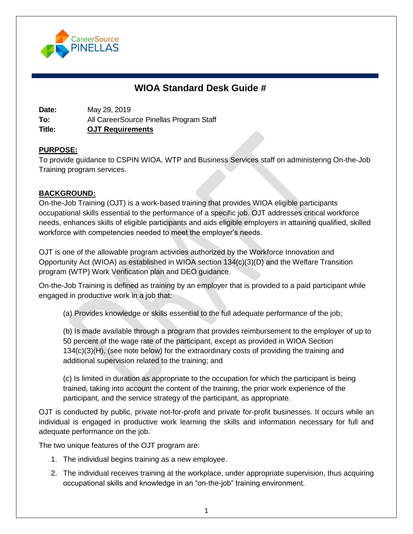

# **WIOA Standard Desk Guide #**

**Date:** May 29, 2019 **To:** All CareerSource Pinellas Program Staff **Title: OJT Requirements**

### **PURPOSE:**

To provide guidance to CSPIN WIOA, WTP and Business Services staff on administering On-the-Job Training program services.

### **BACKGROUND:**

On-the-Job Training (OJT) is a work-based training that provides WIOA eligible participants occupational skills essential to the performance of a specific job. OJT addresses critical workforce needs, enhances skills of eligible participants and aids eligible employers in attaining qualified, skilled workforce with competencies needed to meet the employer's needs.

OJT is one of the allowable program activities authorized by the Workforce Innovation and Opportunity Act (WIOA) as established in WIOA section 134(c)(3)(D) and the Welfare Transition program (WTP) Work Verification plan and DEO guidance.

On-the-Job Training is defined as training by an employer that is provided to a paid participant while engaged in productive work in a job that:

(a) Provides knowledge or skills essential to the full adequate performance of the job;

(b) Is made available through a program that provides reimbursement to the employer of up to 50 percent of the wage rate of the participant, except as provided in WIOA Section 134(c)(3)(H), (see note below) for the extraordinary costs of providing the training and additional supervision related to the training; and

(c) Is limited in duration as appropriate to the occupation for which the participant is being trained, taking into account the content of the training, the prior work experience of the participant, and the service strategy of the participant, as appropriate.

OJT is conducted by public, private not-for-profit and private for-profit businesses. It occurs while an individual is engaged in productive work learning the skills and information necessary for full and adequate performance on the job.

The two unique features of the OJT program are:

- 1. The individual begins training as a new employee.
- 2. The individual receives training at the workplace, under appropriate supervision, thus acquiring occupational skills and knowledge in an "on-the-job" training environment.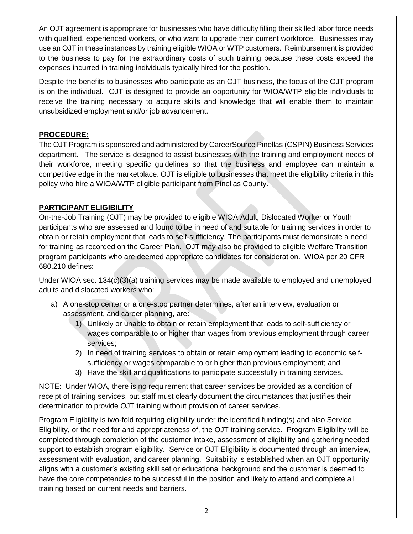An OJT agreement is appropriate for businesses who have difficulty filling their skilled labor force needs with qualified, experienced workers, or who want to upgrade their current workforce. Businesses may use an OJT in these instances by training eligible WIOA or WTP customers. Reimbursement is provided to the business to pay for the extraordinary costs of such training because these costs exceed the expenses incurred in training individuals typically hired for the position.

Despite the benefits to businesses who participate as an OJT business, the focus of the OJT program is on the individual. OJT is designed to provide an opportunity for WIOA/WTP eligible individuals to receive the training necessary to acquire skills and knowledge that will enable them to maintain unsubsidized employment and/or job advancement.

### **PROCEDURE:**

The OJT Program is sponsored and administered by CareerSource Pinellas (CSPIN) Business Services department. The service is designed to assist businesses with the training and employment needs of their workforce, meeting specific guidelines so that the business and employee can maintain a competitive edge in the marketplace. OJT is eligible to businesses that meet the eligibility criteria in this policy who hire a WIOA/WTP eligible participant from Pinellas County.

# **PARTICIPANT ELIGIBILITY**

On-the-Job Training (OJT) may be provided to eligible WIOA Adult, Dislocated Worker or Youth participants who are assessed and found to be in need of and suitable for training services in order to obtain or retain employment that leads to self-sufficiency. The participants must demonstrate a need for training as recorded on the Career Plan. OJT may also be provided to eligible Welfare Transition program participants who are deemed appropriate candidates for consideration. WIOA per 20 CFR 680.210 defines:

Under WIOA sec. 134(c)(3)(a) training services may be made available to employed and unemployed adults and dislocated workers who:

- a) A one-stop center or a one-stop partner determines, after an interview, evaluation or assessment, and career planning, are:
	- 1) Unlikely or unable to obtain or retain employment that leads to self-sufficiency or wages comparable to or higher than wages from previous employment through career services;
	- 2) In need of training services to obtain or retain employment leading to economic selfsufficiency or wages comparable to or higher than previous employment; and
	- 3) Have the skill and qualifications to participate successfully in training services.

NOTE: Under WIOA, there is no requirement that career services be provided as a condition of receipt of training services, but staff must clearly document the circumstances that justifies their determination to provide OJT training without provision of career services.

Program Eligibility is two-fold requiring eligibility under the identified funding(s) and also Service Eligibility, or the need for and appropriateness of, the OJT training service. Program Eligibility will be completed through completion of the customer intake, assessment of eligibility and gathering needed support to establish program eligibility. Service or OJT Eligibility is documented through an interview, assessment with evaluation, and career planning. Suitability is established when an OJT opportunity aligns with a customer's existing skill set or educational background and the customer is deemed to have the core competencies to be successful in the position and likely to attend and complete all training based on current needs and barriers.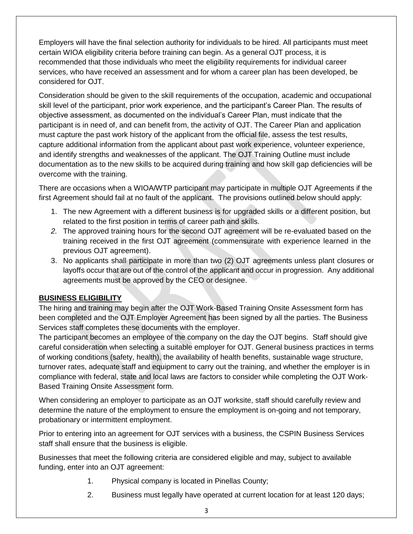Employers will have the final selection authority for individuals to be hired. All participants must meet certain WIOA eligibility criteria before training can begin. As a general OJT process, it is recommended that those individuals who meet the eligibility requirements for individual career services, who have received an assessment and for whom a career plan has been developed, be considered for OJT.

Consideration should be given to the skill requirements of the occupation, academic and occupational skill level of the participant, prior work experience, and the participant's Career Plan. The results of objective assessment, as documented on the individual's Career Plan, must indicate that the participant is in need of, and can benefit from, the activity of OJT. The Career Plan and application must capture the past work history of the applicant from the official file, assess the test results, capture additional information from the applicant about past work experience, volunteer experience, and identify strengths and weaknesses of the applicant. The OJT Training Outline must include documentation as to the new skills to be acquired during training and how skill gap deficiencies will be overcome with the training.

There are occasions when a WIOA/WTP participant may participate in multiple OJT Agreements if the first Agreement should fail at no fault of the applicant. The provisions outlined below should apply:

- 1. The new Agreement with a different business is for upgraded skills or a different position, but related to the first position in terms of career path and skills.
- *2.* The approved training hours for the second OJT agreement will be re-evaluated based on the training received in the first OJT agreement (commensurate with experience learned in the previous OJT agreement).
- 3. No applicants shall participate in more than two (2) OJT agreements unless plant closures or layoffs occur that are out of the control of the applicant and occur in progression. Any additional agreements must be approved by the CEO or designee.

#### **BUSINESS ELIGIBILITY**

The hiring and training may begin after the OJT Work-Based Training Onsite Assessment form has been completed and the OJT Employer Agreement has been signed by all the parties. The Business Services staff completes these documents with the employer.

The participant becomes an employee of the company on the day the OJT begins. Staff should give careful consideration when selecting a suitable employer for OJT. General business practices in terms of working conditions (safety, health), the availability of health benefits, sustainable wage structure, turnover rates, adequate staff and equipment to carry out the training, and whether the employer is in compliance with federal, state and local laws are factors to consider while completing the OJT Work-Based Training Onsite Assessment form.

When considering an employer to participate as an OJT worksite, staff should carefully review and determine the nature of the employment to ensure the employment is on-going and not temporary, probationary or intermittent employment.

Prior to entering into an agreement for OJT services with a business, the CSPIN Business Services staff shall ensure that the business is eligible.

Businesses that meet the following criteria are considered eligible and may, subject to available funding, enter into an OJT agreement:

- 1. Physical company is located in Pinellas County;
- 2. Business must legally have operated at current location for at least 120 days;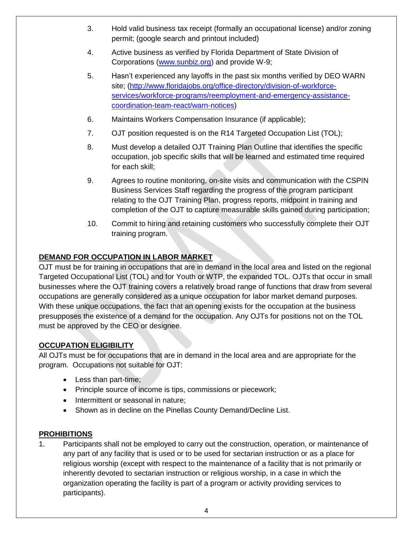- 3. Hold valid business tax receipt (formally an occupational license) and/or zoning permit; (google search and printout included)
- 4. Active business as verified by Florida Department of State Division of Corporations [\(www.sunbiz.org\)](http://www.sunbiz.org/) and provide W-9;
- 5. Hasn't experienced any layoffs in the past six months verified by DEO WARN site; [\(http://www.floridajobs.org/office-directory/division-of-workforce](http://www.floridajobs.org/office-directory/division-of-workforce-services/workforce-programs/reemployment-and-emergency-assistance-coordination-team-react/warn-notices)[services/workforce-programs/reemployment-and-emergency-assistance](http://www.floridajobs.org/office-directory/division-of-workforce-services/workforce-programs/reemployment-and-emergency-assistance-coordination-team-react/warn-notices)[coordination-team-react/warn-notices\)](http://www.floridajobs.org/office-directory/division-of-workforce-services/workforce-programs/reemployment-and-emergency-assistance-coordination-team-react/warn-notices)
- 6. Maintains Workers Compensation Insurance (if applicable);
- 7. OJT position requested is on the R14 Targeted Occupation List (TOL);
- 8. Must develop a detailed OJT Training Plan Outline that identifies the specific occupation, job specific skills that will be learned and estimated time required for each skill;
- 9. Agrees to routine monitoring, on-site visits and communication with the CSPIN Business Services Staff regarding the progress of the program participant relating to the OJT Training Plan, progress reports, midpoint in training and completion of the OJT to capture measurable skills gained during participation;
- 10. Commit to hiring and retaining customers who successfully complete their OJT training program.

# **DEMAND FOR OCCUPATION IN LABOR MARKET**

OJT must be for training in occupations that are in demand in the local area and listed on the regional Targeted Occupational List (TOL) and for Youth or WTP, the expanded TOL. OJTs that occur in small businesses where the OJT training covers a relatively broad range of functions that draw from several occupations are generally considered as a unique occupation for labor market demand purposes. With these unique occupations, the fact that an opening exists for the occupation at the business presupposes the existence of a demand for the occupation. Any OJTs for positions not on the TOL must be approved by the CEO or designee.

#### **OCCUPATION ELIGIBILITY**

All OJTs must be for occupations that are in demand in the local area and are appropriate for the program. Occupations not suitable for OJT:

- Less than part-time;
- Principle source of income is tips, commissions or piecework;
- Intermittent or seasonal in nature;
- Shown as in decline on the Pinellas County Demand/Decline List.

#### **PROHIBITIONS**

1. Participants shall not be employed to carry out the construction, operation, or maintenance of any part of any facility that is used or to be used for sectarian instruction or as a place for religious worship (except with respect to the maintenance of a facility that is not primarily or inherently devoted to sectarian instruction or religious worship, in a case in which the organization operating the facility is part of a program or activity providing services to participants).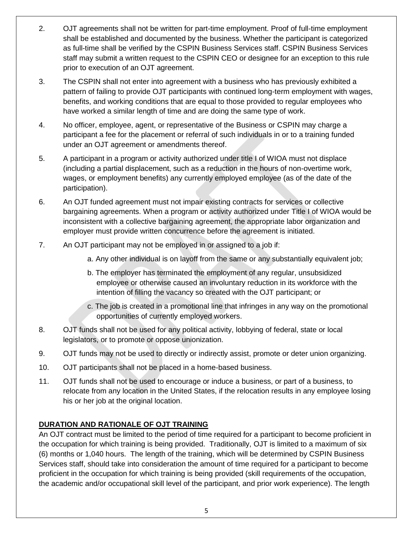- 2. OJT agreements shall not be written for part-time employment. Proof of full-time employment shall be established and documented by the business. Whether the participant is categorized as full-time shall be verified by the CSPIN Business Services staff. CSPIN Business Services staff may submit a written request to the CSPIN CEO or designee for an exception to this rule prior to execution of an OJT agreement.
- 3. The CSPIN shall not enter into agreement with a business who has previously exhibited a pattern of failing to provide OJT participants with continued long-term employment with wages, benefits, and working conditions that are equal to those provided to regular employees who have worked a similar length of time and are doing the same type of work.
- 4. No officer, employee, agent, or representative of the Business or CSPIN may charge a participant a fee for the placement or referral of such individuals in or to a training funded under an OJT agreement or amendments thereof.
- 5. A participant in a program or activity authorized under title I of WIOA must not displace (including a partial displacement, such as a reduction in the hours of non-overtime work, wages, or employment benefits) any currently employed employee (as of the date of the participation).
- 6. An OJT funded agreement must not impair existing contracts for services or collective bargaining agreements. When a program or activity authorized under Title I of WIOA would be inconsistent with a collective bargaining agreement, the appropriate labor organization and employer must provide written concurrence before the agreement is initiated.
- 7. An OJT participant may not be employed in or assigned to a job if:
	- a. Any other individual is on layoff from the same or any substantially equivalent job;
	- b. The employer has terminated the employment of any regular, unsubsidized employee or otherwise caused an involuntary reduction in its workforce with the intention of filling the vacancy so created with the OJT participant; or
	- c. The job is created in a promotional line that infringes in any way on the promotional opportunities of currently employed workers.
- 8. OJT funds shall not be used for any political activity, lobbying of federal, state or local legislators, or to promote or oppose unionization.
- 9. OJT funds may not be used to directly or indirectly assist, promote or deter union organizing.
- 10. OJT participants shall not be placed in a home-based business.
- 11. OJT funds shall not be used to encourage or induce a business, or part of a business, to relocate from any location in the United States, if the relocation results in any employee losing his or her job at the original location.

# **DURATION AND RATIONALE OF OJT TRAINING**

An OJT contract must be limited to the period of time required for a participant to become proficient in the occupation for which training is being provided. Traditionally, OJT is limited to a maximum of six (6) months or 1,040 hours. The length of the training, which will be determined by CSPIN Business Services staff, should take into consideration the amount of time required for a participant to become proficient in the occupation for which training is being provided (skill requirements of the occupation, the academic and/or occupational skill level of the participant, and prior work experience). The length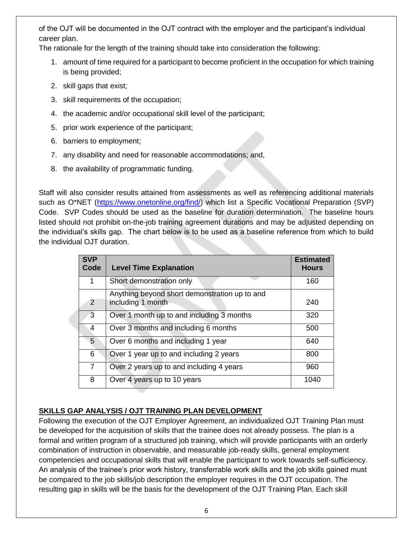of the OJT will be documented in the OJT contract with the employer and the participant's individual career plan.

The rationale for the length of the training should take into consideration the following:

- 1. amount of time required for a participant to become proficient in the occupation for which training is being provided;
- 2. skill gaps that exist;
- 3. skill requirements of the occupation;
- 4. the academic and/or occupational skill level of the participant;
- 5. prior work experience of the participant;
- 6. barriers to employment;
- 7. any disability and need for reasonable accommodations; and,
- 8. the availability of programmatic funding.

Staff will also consider results attained from assessments as well as referencing additional materials such as O\*NET [\(https://www.onetonline.org/find/\)](https://www.onetonline.org/find/) which list a Specific Vocational Preparation (SVP) Code. SVP Codes should be used as the baseline for duration determination. The baseline hours listed should not prohibit on-the-job training agreement durations and may be adjusted depending on the individual's skills gap. The chart below is to be used as a baseline reference from which to build the individual OJT duration.

| <b>SVP</b><br>Code | <b>Level Time Explanation</b>                                      | <b>Estimated</b><br><b>Hours</b> |
|--------------------|--------------------------------------------------------------------|----------------------------------|
| 1                  | Short demonstration only                                           | 160                              |
| 2                  | Anything beyond short demonstration up to and<br>including 1 month | 240                              |
| 3                  | Over 1 month up to and including 3 months                          | 320                              |
| 4                  | Over 3 months and including 6 months                               | 500                              |
| 5 <sup>5</sup>     | Over 6 months and including 1 year                                 | 640                              |
| 6                  | Over 1 year up to and including 2 years                            | 800                              |
| $\overline{7}$     | Over 2 years up to and including 4 years                           | 960                              |
| 8                  | Over 4 years up to 10 years                                        | 1040                             |

# **SKILLS GAP ANALYSIS / OJT TRAINING PLAN DEVELOPMENT**

Following the execution of the OJT Employer Agreement, an individualized OJT Training Plan must be developed for the acquisition of skills that the trainee does not already possess. The plan is a formal and written program of a structured job training, which will provide participants with an orderly combination of instruction in observable, and measurable job-ready skills, general employment competencies and occupational skills that will enable the participant to work towards self-sufficiency. An analysis of the trainee's prior work history, transferrable work skills and the job skills gained must be compared to the job skills/job description the employer requires in the OJT occupation. The resulting gap in skills will be the basis for the development of the OJT Training Plan. Each skill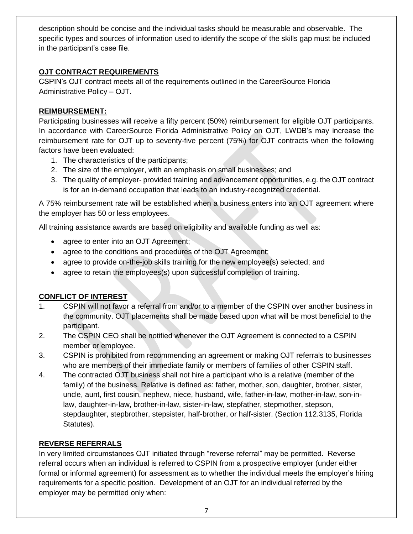description should be concise and the individual tasks should be measurable and observable. The specific types and sources of information used to identify the scope of the skills gap must be included in the participant's case file.

### **OJT CONTRACT REQUIREMENTS**

CSPIN's OJT contract meets all of the requirements outlined in the CareerSource Florida Administrative Policy – OJT.

#### **REIMBURSEMENT:**

Participating businesses will receive a fifty percent (50%) reimbursement for eligible OJT participants. In accordance with CareerSource Florida Administrative Policy on OJT, LWDB's may increase the reimbursement rate for OJT up to seventy-five percent (75%) for OJT contracts when the following factors have been evaluated:

- 1. The characteristics of the participants;
- 2. The size of the employer, with an emphasis on small businesses; and
- 3. The quality of employer- provided training and advancement opportunities, e.g. the OJT contract is for an in-demand occupation that leads to an industry-recognized credential.

A 75% reimbursement rate will be established when a business enters into an OJT agreement where the employer has 50 or less employees.

All training assistance awards are based on eligibility and available funding as well as:

- agree to enter into an OJT Agreement;
- agree to the conditions and procedures of the OJT Agreement;
- agree to provide on-the-job skills training for the new employee(s) selected; and
- agree to retain the employees(s) upon successful completion of training.

# **CONFLICT OF INTEREST**

- 1. CSPIN will not favor a referral from and/or to a member of the CSPIN over another business in the community. OJT placements shall be made based upon what will be most beneficial to the participant.
- 2. The CSPIN CEO shall be notified whenever the OJT Agreement is connected to a CSPIN member or employee.
- 3. CSPIN is prohibited from recommending an agreement or making OJT referrals to businesses who are members of their immediate family or members of families of other CSPIN staff.
- 4. The contracted OJT business shall not hire a participant who is a relative (member of the family) of the business. Relative is defined as: father, mother, son, daughter, brother, sister, uncle, aunt, first cousin, nephew, niece, husband, wife, father-in-law, mother-in-law, son-inlaw, daughter-in-law, brother-in-law, sister-in-law, stepfather, stepmother, stepson, stepdaughter, stepbrother, stepsister, half-brother, or half-sister. (Section 112.3135, Florida Statutes).

#### **REVERSE REFERRALS**

In very limited circumstances OJT initiated through "reverse referral" may be permitted. Reverse referral occurs when an individual is referred to CSPIN from a prospective employer (under either formal or informal agreement) for assessment as to whether the individual meets the employer's hiring requirements for a specific position. Development of an OJT for an individual referred by the employer may be permitted only when: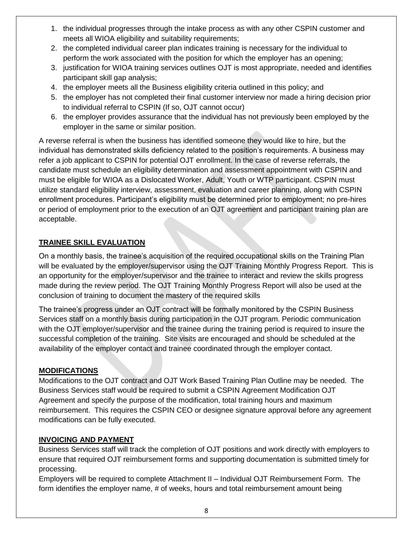- 1. the individual progresses through the intake process as with any other CSPIN customer and meets all WIOA eligibility and suitability requirements;
- 2. the completed individual career plan indicates training is necessary for the individual to perform the work associated with the position for which the employer has an opening;
- 3. justification for WIOA training services outlines OJT is most appropriate, needed and identifies participant skill gap analysis;
- 4. the employer meets all the Business eligibility criteria outlined in this policy; and
- 5. the employer has not completed their final customer interview nor made a hiring decision prior to individual referral to CSPIN (If so, OJT cannot occur)
- 6. the employer provides assurance that the individual has not previously been employed by the employer in the same or similar position.

A reverse referral is when the business has identified someone they would like to hire, but the individual has demonstrated skills deficiency related to the position's requirements. A business may refer a job applicant to CSPIN for potential OJT enrollment. In the case of reverse referrals, the candidate must schedule an eligibility determination and assessment appointment with CSPIN and must be eligible for WIOA as a Dislocated Worker, Adult, Youth or WTP participant. CSPIN must utilize standard eligibility interview, assessment, evaluation and career planning, along with CSPIN enrollment procedures. Participant's eligibility must be determined prior to employment; no pre-hires or period of employment prior to the execution of an OJT agreement and participant training plan are acceptable.

# **TRAINEE SKILL EVALUATION**

On a monthly basis, the trainee's acquisition of the required occupational skills on the Training Plan will be evaluated by the employer/supervisor using the OJT Training Monthly Progress Report. This is an opportunity for the employer/supervisor and the trainee to interact and review the skills progress made during the review period. The OJT Training Monthly Progress Report will also be used at the conclusion of training to document the mastery of the required skills

The trainee's progress under an OJT contract will be formally monitored by the CSPIN Business Services staff on a monthly basis during participation in the OJT program. Periodic communication with the OJT employer/supervisor and the trainee during the training period is required to insure the successful completion of the training. Site visits are encouraged and should be scheduled at the availability of the employer contact and trainee coordinated through the employer contact.

# **MODIFICATIONS**

Modifications to the OJT contract and OJT Work Based Training Plan Outline may be needed. The Business Services staff would be required to submit a CSPIN Agreement Modification OJT Agreement and specify the purpose of the modification, total training hours and maximum reimbursement. This requires the CSPIN CEO or designee signature approval before any agreement modifications can be fully executed.

# **INVOICING AND PAYMENT**

Business Services staff will track the completion of OJT positions and work directly with employers to ensure that required OJT reimbursement forms and supporting documentation is submitted timely for processing.

Employers will be required to complete Attachment II – Individual OJT Reimbursement Form. The form identifies the employer name, # of weeks, hours and total reimbursement amount being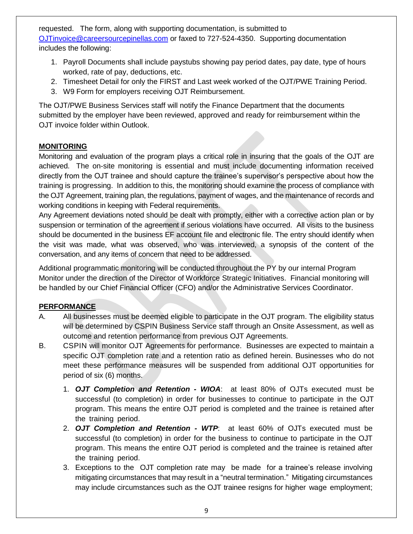requested. The form, along with supporting documentation, is submitted to [OJTinvoice@careersourcepinellas.com](mailto:OJTinvoice@careersourcepinellas.com) or faxed to 727-524-4350. Supporting documentation includes the following:

- 1. Payroll Documents shall include paystubs showing pay period dates, pay date, type of hours worked, rate of pay, deductions, etc.
- 2. Timesheet Detail for only the FIRST and Last week worked of the OJT/PWE Training Period.
- 3. W9 Form for employers receiving OJT Reimbursement.

The OJT/PWE Business Services staff will notify the Finance Department that the documents submitted by the employer have been reviewed, approved and ready for reimbursement within the OJT invoice folder within Outlook.

# **MONITORING**

Monitoring and evaluation of the program plays a critical role in insuring that the goals of the OJT are achieved. The on-site monitoring is essential and must include documenting information received directly from the OJT trainee and should capture the trainee's supervisor's perspective about how the training is progressing. In addition to this, the monitoring should examine the process of compliance with the OJT Agreement, training plan, the regulations, payment of wages, and the maintenance of records and working conditions in keeping with Federal requirements.

Any Agreement deviations noted should be dealt with promptly, either with a corrective action plan or by suspension or termination of the agreement if serious violations have occurred. All visits to the business should be documented in the business EF account file and electronic file. The entry should identify when the visit was made, what was observed, who was interviewed, a synopsis of the content of the conversation, and any items of concern that need to be addressed.

Additional programmatic monitoring will be conducted throughout the PY by our internal Program Monitor under the direction of the Director of Workforce Strategic Initiatives. Financial monitoring will be handled by our Chief Financial Officer (CFO) and/or the Administrative Services Coordinator.

# **PERFORMANCE**

- A. All businesses must be deemed eligible to participate in the OJT program. The eligibility status will be determined by CSPIN Business Service staff through an Onsite Assessment, as well as outcome and retention performance from previous OJT Agreements.
- B. CSPIN will monitor OJT Agreements for performance. Businesses are expected to maintain a specific OJT completion rate and a retention ratio as defined herein. Businesses who do not meet these performance measures will be suspended from additional OJT opportunities for period of six (6) months.
	- 1. *OJT Completion and Retention - WIOA*: at least 80% of OJTs executed must be successful (to completion) in order for businesses to continue to participate in the OJT program. This means the entire OJT period is completed and the trainee is retained after the training period.
	- 2. *OJT Completion and Retention - WTP*: at least 60% of OJTs executed must be successful (to completion) in order for the business to continue to participate in the OJT program. This means the entire OJT period is completed and the trainee is retained after the training period.
	- 3. Exceptions to the OJT completion rate may be made for a trainee's release involving mitigating circumstances that may result in a "neutral termination." Mitigating circumstances may include circumstances such as the OJT trainee resigns for higher wage employment;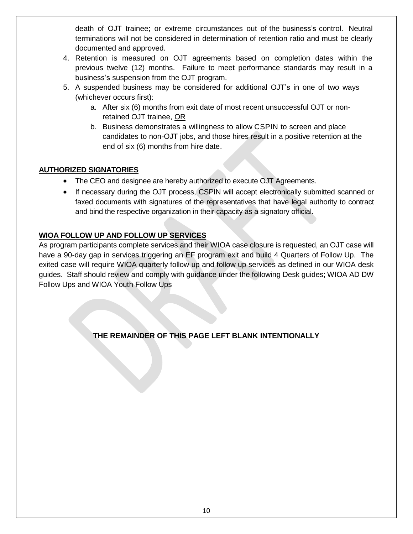death of OJT trainee; or extreme circumstances out of the business's control. Neutral terminations will not be considered in determination of retention ratio and must be clearly documented and approved.

- 4. Retention is measured on OJT agreements based on completion dates within the previous twelve (12) months. Failure to meet performance standards may result in a business's suspension from the OJT program.
- 5. A suspended business may be considered for additional OJT's in one of two ways (whichever occurs first):
	- a. After six (6) months from exit date of most recent unsuccessful OJT or nonretained OJT trainee, OR
	- b. Business demonstrates a willingness to allow CSPIN to screen and place candidates to non-OJT jobs, and those hires result in a positive retention at the end of six (6) months from hire date.

# **AUTHORIZED SIGNATORIES**

- The CEO and designee are hereby authorized to execute OJT Agreements.
- If necessary during the OJT process, CSPIN will accept electronically submitted scanned or faxed documents with signatures of the representatives that have legal authority to contract and bind the respective organization in their capacity as a signatory official.

# **WIOA FOLLOW UP AND FOLLOW UP SERVICES**

As program participants complete services and their WIOA case closure is requested, an OJT case will have a 90-day gap in services triggering an EF program exit and build 4 Quarters of Follow Up. The exited case will require WIOA quarterly follow up and follow up services as defined in our WIOA desk guides. Staff should review and comply with guidance under the following Desk guides; WIOA AD DW Follow Ups and WIOA Youth Follow Ups

**THE REMAINDER OF THIS PAGE LEFT BLANK INTENTIONALLY**